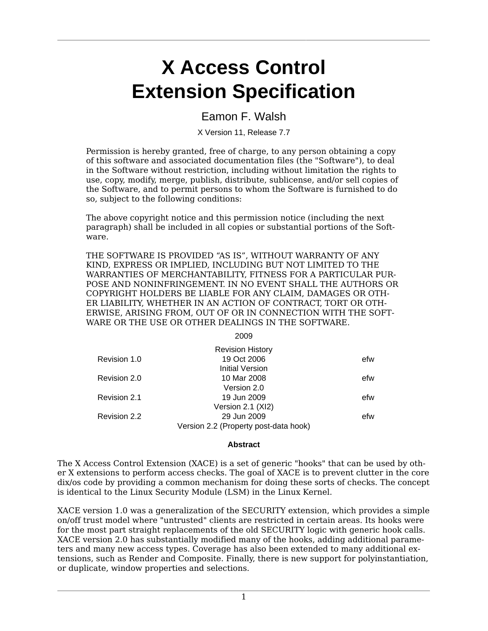# **X Access Control Extension Specification**

### Eamon F. Walsh

X Version 11, Release 7.7

Permission is hereby granted, free of charge, to any person obtaining a copy of this software and associated documentation files (the "Software"), to deal in the Software without restriction, including without limitation the rights to use, copy, modify, merge, publish, distribute, sublicense, and/or sell copies of the Software, and to permit persons to whom the Software is furnished to do so, subject to the following conditions:

The above copyright notice and this permission notice (including the next paragraph) shall be included in all copies or substantial portions of the Software.

THE SOFTWARE IS PROVIDED "AS IS", WITHOUT WARRANTY OF ANY KIND, EXPRESS OR IMPLIED, INCLUDING BUT NOT LIMITED TO THE WARRANTIES OF MERCHANTABILITY, FITNESS FOR A PARTICULAR PUR-POSE AND NONINFRINGEMENT. IN NO EVENT SHALL THE AUTHORS OR COPYRIGHT HOLDERS BE LIABLE FOR ANY CLAIM, DAMAGES OR OTH-ER LIABILITY, WHETHER IN AN ACTION OF CONTRACT, TORT OR OTH-ERWISE, ARISING FROM, OUT OF OR IN CONNECTION WITH THE SOFT-WARE OR THE USE OR OTHER DEALINGS IN THE SOFTWARE.

| × | ۰,<br>×<br>۰, | ۰. |
|---|---------------|----|

|              | <b>Revision History</b>               |     |
|--------------|---------------------------------------|-----|
| Revision 1.0 | 19 Oct 2006                           | efw |
|              | Initial Version                       |     |
| Revision 2.0 | 10 Mar 2008                           | efw |
|              | Version 2.0                           |     |
| Revision 2.1 | 19 Jun 2009                           | efw |
|              | Version 2.1 (XI2)                     |     |
| Revision 2.2 | 29 Jun 2009                           | efw |
|              | Version 2.2 (Property post-data hook) |     |

#### **Abstract**

The X Access Control Extension (XACE) is a set of generic "hooks" that can be used by other X extensions to perform access checks. The goal of XACE is to prevent clutter in the core dix/os code by providing a common mechanism for doing these sorts of checks. The concept is identical to the Linux Security Module (LSM) in the Linux Kernel.

XACE version 1.0 was a generalization of the SECURITY extension, which provides a simple on/off trust model where "untrusted" clients are restricted in certain areas. Its hooks were for the most part straight replacements of the old SECURITY logic with generic hook calls. XACE version 2.0 has substantially modified many of the hooks, adding additional parameters and many new access types. Coverage has also been extended to many additional extensions, such as Render and Composite. Finally, there is new support for polyinstantiation, or duplicate, window properties and selections.

1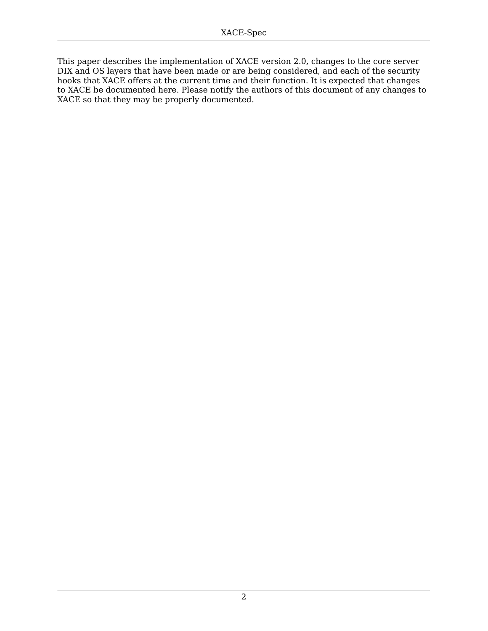This paper describes the implementation of XACE version 2.0, changes to the core server DIX and OS layers that have been made or are being considered, and each of the security hooks that XACE offers at the current time and their function. It is expected that changes to XACE be documented here. Please notify the authors of this document of any changes to XACE so that they may be properly documented.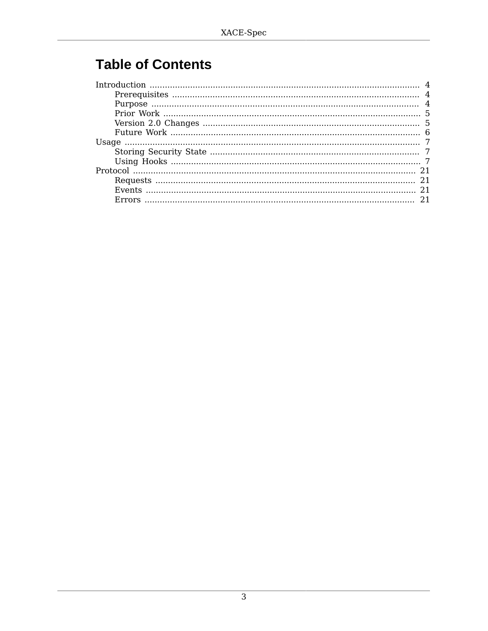## **Table of Contents**

| 21 |
|----|
|    |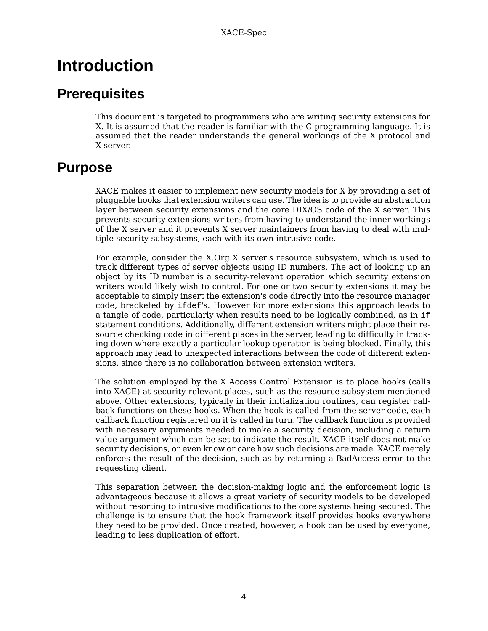## <span id="page-3-0"></span>**Introduction**

## <span id="page-3-1"></span>**Prerequisites**

This document is targeted to programmers who are writing security extensions for X. It is assumed that the reader is familiar with the C programming language. It is assumed that the reader understands the general workings of the X protocol and X server.

## <span id="page-3-2"></span>**Purpose**

XACE makes it easier to implement new security models for X by providing a set of pluggable hooks that extension writers can use. The idea is to provide an abstraction layer between security extensions and the core DIX/OS code of the X server. This prevents security extensions writers from having to understand the inner workings of the X server and it prevents X server maintainers from having to deal with multiple security subsystems, each with its own intrusive code.

For example, consider the X.Org X server's resource subsystem, which is used to track different types of server objects using ID numbers. The act of looking up an object by its ID number is a security-relevant operation which security extension writers would likely wish to control. For one or two security extensions it may be acceptable to simply insert the extension's code directly into the resource manager code, bracketed by ifdef's. However for more extensions this approach leads to a tangle of code, particularly when results need to be logically combined, as in if statement conditions. Additionally, different extension writers might place their resource checking code in different places in the server, leading to difficulty in tracking down where exactly a particular lookup operation is being blocked. Finally, this approach may lead to unexpected interactions between the code of different extensions, since there is no collaboration between extension writers.

The solution employed by the X Access Control Extension is to place hooks (calls into XACE) at security-relevant places, such as the resource subsystem mentioned above. Other extensions, typically in their initialization routines, can register callback functions on these hooks. When the hook is called from the server code, each callback function registered on it is called in turn. The callback function is provided with necessary arguments needed to make a security decision, including a return value argument which can be set to indicate the result. XACE itself does not make security decisions, or even know or care how such decisions are made. XACE merely enforces the result of the decision, such as by returning a BadAccess error to the requesting client.

This separation between the decision-making logic and the enforcement logic is advantageous because it allows a great variety of security models to be developed without resorting to intrusive modifications to the core systems being secured. The challenge is to ensure that the hook framework itself provides hooks everywhere they need to be provided. Once created, however, a hook can be used by everyone, leading to less duplication of effort.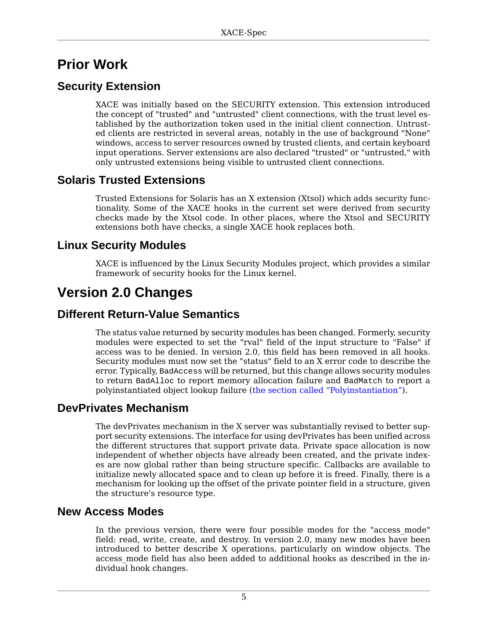## <span id="page-4-0"></span>**Prior Work**

## **Security Extension**

XACE was initially based on the SECURITY extension. This extension introduced the concept of "trusted" and "untrusted" client connections, with the trust level established by the authorization token used in the initial client connection. Untrusted clients are restricted in several areas, notably in the use of background "None" windows, access to server resources owned by trusted clients, and certain keyboard input operations. Server extensions are also declared "trusted" or "untrusted," with only untrusted extensions being visible to untrusted client connections.

## **Solaris Trusted Extensions**

Trusted Extensions for Solaris has an X extension (Xtsol) which adds security functionality. Some of the XACE hooks in the current set were derived from security checks made by the Xtsol code. In other places, where the Xtsol and SECURITY extensions both have checks, a single XACE hook replaces both.

## **Linux Security Modules**

XACE is influenced by the Linux Security Modules project, which provides a similar framework of security hooks for the Linux kernel.

## <span id="page-4-1"></span>**Version 2.0 Changes**

### **Different Return-Value Semantics**

The status value returned by security modules has been changed. Formerly, security modules were expected to set the "rval" field of the input structure to "False" if access was to be denied. In version 2.0, this field has been removed in all hooks. Security modules must now set the "status" field to an X error code to describe the error. Typically, BadAccess will be returned, but this change allows security modules to return BadAlloc to report memory allocation failure and BadMatch to report a polyinstantiated object lookup failure ([the section called "Polyinstantiation"\)](#page-5-1).

### **DevPrivates Mechanism**

The devPrivates mechanism in the X server was substantially revised to better support security extensions. The interface for using devPrivates has been unified across the different structures that support private data. Private space allocation is now independent of whether objects have already been created, and the private indexes are now global rather than being structure specific. Callbacks are available to initialize newly allocated space and to clean up before it is freed. Finally, there is a mechanism for looking up the offset of the private pointer field in a structure, given the structure's resource type.

### **New Access Modes**

In the previous version, there were four possible modes for the "access mode" field: read, write, create, and destroy. In version 2.0, many new modes have been introduced to better describe X operations, particularly on window objects. The access mode field has also been added to additional hooks as described in the individual hook changes.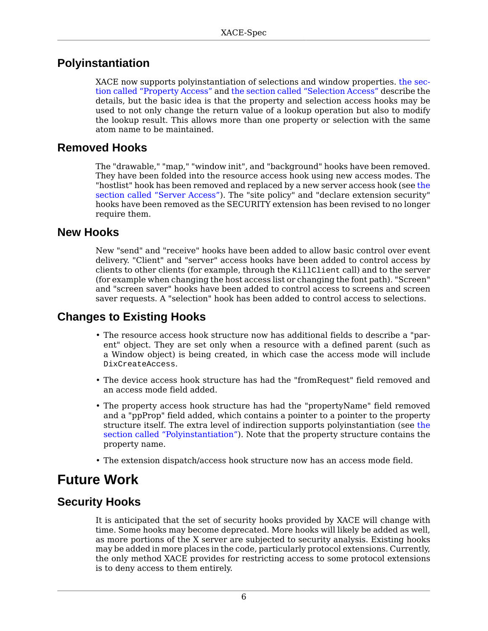## <span id="page-5-1"></span>**Polyinstantiation**

XACE now supports polyinstantiation of selections and window properties. [the sec](#page-13-0)[tion called "Property Access"](#page-13-0) and [the section called "Selection Access"](#page-17-0) describe the details, but the basic idea is that the property and selection access hooks may be used to not only change the return value of a lookup operation but also to modify the lookup result. This allows more than one property or selection with the same atom name to be maintained.

## **Removed Hooks**

The "drawable," "map," "window init", and "background" hooks have been removed. They have been folded into the resource access hook using new access modes. The "hostlist" hook has been removed and replaced by a new server access hook (see [the](#page-16-0) [section called "Server Access"](#page-16-0)). The "site policy" and "declare extension security" hooks have been removed as the SECURITY extension has been revised to no longer require them.

### **New Hooks**

New "send" and "receive" hooks have been added to allow basic control over event delivery. "Client" and "server" access hooks have been added to control access by clients to other clients (for example, through the KillClient call) and to the server (for example when changing the host access list or changing the font path). "Screen" and "screen saver" hooks have been added to control access to screens and screen saver requests. A "selection" hook has been added to control access to selections.

## **Changes to Existing Hooks**

- The resource access hook structure now has additional fields to describe a "parent" object. They are set only when a resource with a defined parent (such as a Window object) is being created, in which case the access mode will include DixCreateAccess.
- The device access hook structure has had the "fromRequest" field removed and an access mode field added.
- The property access hook structure has had the "propertyName" field removed and a "ppProp" field added, which contains a pointer to a pointer to the property structure itself. The extra level of indirection supports polyinstantiation (see [the](#page-5-1) [section called "Polyinstantiation"](#page-5-1)). Note that the property structure contains the property name.
- The extension dispatch/access hook structure now has an access mode field.

## <span id="page-5-0"></span>**Future Work**

## <span id="page-5-2"></span>**Security Hooks**

It is anticipated that the set of security hooks provided by XACE will change with time. Some hooks may become deprecated. More hooks will likely be added as well, as more portions of the X server are subjected to security analysis. Existing hooks may be added in more places in the code, particularly protocol extensions. Currently, the only method XACE provides for restricting access to some protocol extensions is to deny access to them entirely.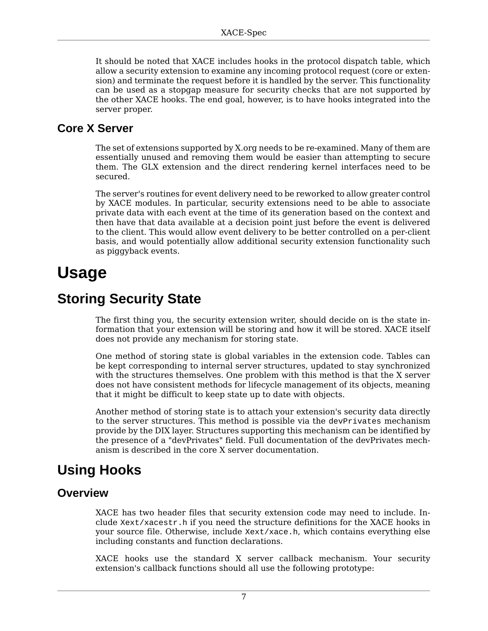It should be noted that XACE includes hooks in the protocol dispatch table, which allow a security extension to examine any incoming protocol request (core or extension) and terminate the request before it is handled by the server. This functionality can be used as a stopgap measure for security checks that are not supported by the other XACE hooks. The end goal, however, is to have hooks integrated into the server proper.

## **Core X Server**

The set of extensions supported by X.org needs to be re-examined. Many of them are essentially unused and removing them would be easier than attempting to secure them. The GLX extension and the direct rendering kernel interfaces need to be secured.

The server's routines for event delivery need to be reworked to allow greater control by XACE modules. In particular, security extensions need to be able to associate private data with each event at the time of its generation based on the context and then have that data available at a decision point just before the event is delivered to the client. This would allow event delivery to be better controlled on a per-client basis, and would potentially allow additional security extension functionality such as piggyback events.

## <span id="page-6-0"></span>**Usage**

## <span id="page-6-1"></span>**Storing Security State**

The first thing you, the security extension writer, should decide on is the state information that your extension will be storing and how it will be stored. XACE itself does not provide any mechanism for storing state.

One method of storing state is global variables in the extension code. Tables can be kept corresponding to internal server structures, updated to stay synchronized with the structures themselves. One problem with this method is that the X server does not have consistent methods for lifecycle management of its objects, meaning that it might be difficult to keep state up to date with objects.

Another method of storing state is to attach your extension's security data directly to the server structures. This method is possible via the devPrivates mechanism provide by the DIX layer. Structures supporting this mechanism can be identified by the presence of a "devPrivates" field. Full documentation of the devPrivates mechanism is described in the core X server documentation.

## <span id="page-6-2"></span>**Using Hooks**

### **Overview**

XACE has two header files that security extension code may need to include. Include Xext/xacestr.h if you need the structure definitions for the XACE hooks in your source file. Otherwise, include Xext/xace.h, which contains everything else including constants and function declarations.

XACE hooks use the standard X server callback mechanism. Your security extension's callback functions should all use the following prototype: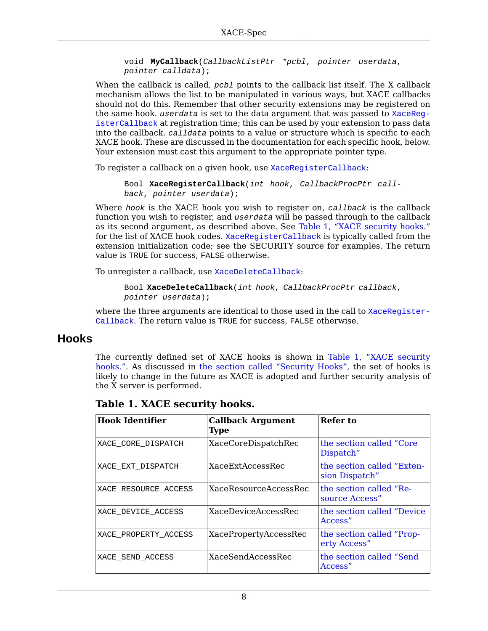```
void MyCallback(CallbackListPtr *pcbl, pointer userdata,
pointer calldata);
```
When the callback is called,  $pcb1$  points to the callback list itself. The X callback mechanism allows the list to be manipulated in various ways, but XACE callbacks should not do this. Remember that other security extensions may be registered on the same hook. userdata is set to the data argument that was passed to [XaceReg](#page-7-0)[isterCallback](#page-7-0) at registration time; this can be used by your extension to pass data into the callback. calldata points to a value or structure which is specific to each XACE hook. These are discussed in the documentation for each specific hook, below. Your extension must cast this argument to the appropriate pointer type.

<span id="page-7-0"></span>To register a callback on a given hook, use [XaceRegisterCallback](#page-7-0):

```
Bool XaceRegisterCallback(int hook, CallbackProcPtr call-
back, pointer userdata);
```
Where  $hook$  is the XACE hook you wish to register on, callback is the callback function you wish to register, and userdata will be passed through to the callback as its second argument, as described above. See [Table 1, "XACE security hooks."](#page-7-1) for the list of XACE hook codes. [XaceRegisterCallback](#page-7-0) is typically called from the extension initialization code; see the SECURITY source for examples. The return value is TRUE for success, FALSE otherwise.

<span id="page-7-2"></span>To unregister a callback, use [XaceDeleteCallback](#page-7-2):

```
Bool XaceDeleteCallback(int hook, CallbackProcPtr callback,
pointer userdata);
```
where the three arguments are identical to those used in the call to [XaceRegister-](#page-7-0)[Callback](#page-7-0). The return value is TRUE for success, FALSE otherwise.

### **Hooks**

The currently defined set of XACE hooks is shown in [Table 1, "XACE security](#page-7-1) [hooks.".](#page-7-1) As discussed in [the section called "Security Hooks"](#page-5-2), the set of hooks is likely to change in the future as XACE is adopted and further security analysis of the X server is performed.

| <b>Hook Identifier</b> | <b>Callback Argument</b><br><b>Type</b> | Refer to                                     |
|------------------------|-----------------------------------------|----------------------------------------------|
| XACE CORE DISPATCH     | XaceCoreDispatchRec                     | the section called "Core"<br>Dispatch"       |
| XACE EXT DISPATCH      | XaceExtAccessRec                        | the section called "Exten-<br>sion Dispatch" |
| XACE RESOURCE ACCESS   | XaceResourceAccessRec                   | the section called "Re-<br>source Access"    |
| XACE DEVICE ACCESS     | XaceDeviceAccessRec                     | the section called "Device"<br>Access"       |
| XACE PROPERTY ACCESS   | XacePropertyAccessRec                   | the section called "Prop-<br>erty Access"    |
| XACE SEND ACCESS       | XaceSendAccessRec                       | the section called "Send"<br>Access"         |

<span id="page-7-1"></span>**Table 1. XACE security hooks.**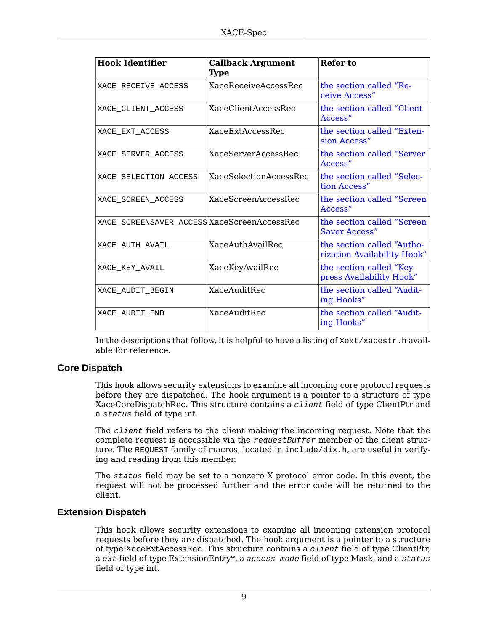| <b>Hook Identifier</b>                      | <b>Callback Argument</b><br><b>Type</b> | Refer to                                                  |
|---------------------------------------------|-----------------------------------------|-----------------------------------------------------------|
| XACE RECEIVE ACCESS                         | <b>XaceReceiveAccessRec</b>             | the section called "Re-<br>ceive Access"                  |
| XACE CLIENT ACCESS                          | <b>XaceClientAccessRec</b>              | the section called "Client"<br>Access"                    |
| XACE EXT ACCESS                             | <b>XaceFxtAccessRec</b>                 | the section called "Exten-<br>sion Access"                |
| XACE SERVER ACCESS                          | XaceServerAccessRec                     | the section called "Server"<br>Access"                    |
| XACE SELECTION ACCESS                       | <b>XaceSelectionAccessRec</b>           | the section called "Selec-<br>tion Access"                |
| XACE SCREEN ACCESS                          | XaceScreenAccessRec                     | the section called "Screen"<br>Access"                    |
| XACE_SCREENSAVER_ACCESS XaceScreenAccessRec |                                         | the section called "Screen"<br><b>Saver Access"</b>       |
| XACE AUTH AVAIL                             | XaceAuthAvailRec                        | the section called "Autho-<br>rization Availability Hook" |
| XACE KEY AVAIL                              | XaceKeyAvailRec                         | the section called "Key-<br>press Availability Hook"      |
| XACE AUDIT BEGIN                            | <b>XaceAuditRec</b>                     | the section called "Audit-<br>ing Hooks"                  |
| XACE AUDIT END                              | <b>XaceAuditRec</b>                     | the section called "Audit-<br>ing Hooks"                  |

In the descriptions that follow, it is helpful to have a listing of Xext/xacestr.h available for reference.

#### <span id="page-8-0"></span>**Core Dispatch**

This hook allows security extensions to examine all incoming core protocol requests before they are dispatched. The hook argument is a pointer to a structure of type XaceCoreDispatchRec. This structure contains a client field of type ClientPtr and a status field of type int.

The client field refers to the client making the incoming request. Note that the complete request is accessible via the request Buffer member of the client structure. The REQUEST family of macros, located in include/dix.h, are useful in verifying and reading from this member.

The status field may be set to a nonzero X protocol error code. In this event, the request will not be processed further and the error code will be returned to the client.

#### <span id="page-8-1"></span>**Extension Dispatch**

This hook allows security extensions to examine all incoming extension protocol requests before they are dispatched. The hook argument is a pointer to a structure of type XaceExtAccessRec. This structure contains a *client* field of type ClientPtr, a ext field of type ExtensionEntry\*, a access\_mode field of type Mask, and a status field of type int.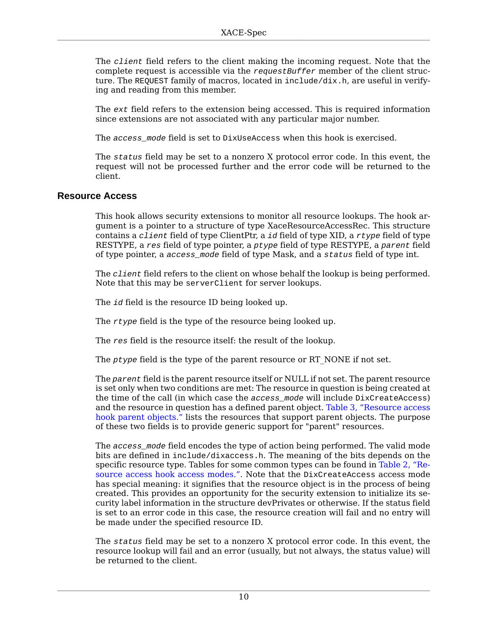The client field refers to the client making the incoming request. Note that the complete request is accessible via the  $requestBuffer$  member of the client structure. The REQUEST family of macros, located in include/dix.h, are useful in verifying and reading from this member.

The ext field refers to the extension being accessed. This is required information since extensions are not associated with any particular major number.

The access mode field is set to DixUseAccess when this hook is exercised.

The status field may be set to a nonzero X protocol error code. In this event, the request will not be processed further and the error code will be returned to the client.

#### <span id="page-9-0"></span>**Resource Access**

This hook allows security extensions to monitor all resource lookups. The hook argument is a pointer to a structure of type XaceResourceAccessRec. This structure contains a *client* field of type ClientPtr, a *id* field of type XID, a *rtype* field of type RESTYPE, a res field of type pointer, a ptype field of type RESTYPE, a parent field of type pointer, a access\_mode field of type Mask, and a status field of type int.

The *client* field refers to the client on whose behalf the lookup is being performed. Note that this may be serverClient for server lookups.

The id field is the resource ID being looked up.

The rtype field is the type of the resource being looked up.

The res field is the resource itself: the result of the lookup.

The  $ptype$  field is the type of the parent resource or RT\_NONE if not set.

The parent field is the parent resource itself or NULL if not set. The parent resource is set only when two conditions are met: The resource in question is being created at the time of the call (in which case the access\_mode will include DixCreateAccess) and the resource in question has a defined parent object. [Table 3, "Resource access](#page-11-1) [hook parent objects."](#page-11-1) lists the resources that support parent objects. The purpose of these two fields is to provide generic support for "parent" resources.

The access\_mode field encodes the type of action being performed. The valid mode bits are defined in include/dixaccess.h. The meaning of the bits depends on the specific resource type. Tables for some common types can be found in [Table 2, "Re](#page-10-0)[source access hook access modes."](#page-10-0). Note that the DixCreateAccess access mode has special meaning: it signifies that the resource object is in the process of being created. This provides an opportunity for the security extension to initialize its security label information in the structure devPrivates or otherwise. If the status field is set to an error code in this case, the resource creation will fail and no entry will be made under the specified resource ID.

The status field may be set to a nonzero X protocol error code. In this event, the resource lookup will fail and an error (usually, but not always, the status value) will be returned to the client.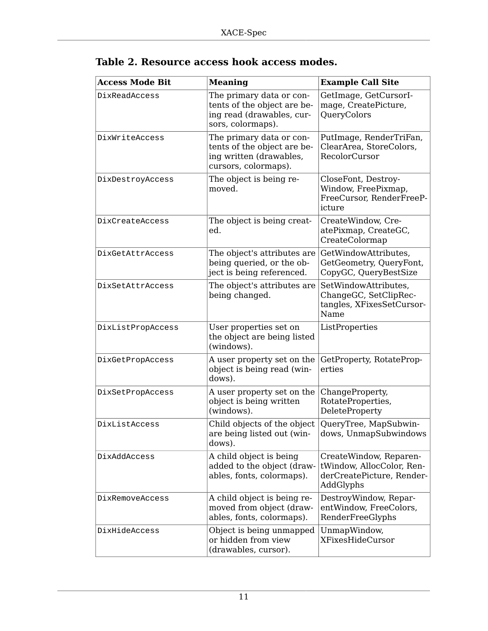| <b>Access Mode Bit</b> | <b>Meaning</b>                                                                                             | <b>Example Call Site</b>                                                                      |
|------------------------|------------------------------------------------------------------------------------------------------------|-----------------------------------------------------------------------------------------------|
| DixReadAccess          | The primary data or con-<br>tents of the object are be-<br>ing read (drawables, cur-<br>sors, colormaps).  | GetImage, GetCursorI-<br>mage, CreatePicture,<br>QueryColors                                  |
| DixWriteAccess         | The primary data or con-<br>tents of the object are be-<br>ing written (drawables,<br>cursors, colormaps). | PutImage, RenderTriFan,<br>ClearArea, StoreColors,<br>RecolorCursor                           |
| DixDestroyAccess       | The object is being re-<br>moved.                                                                          | CloseFont, Destroy-<br>Window, FreePixmap,<br>FreeCursor, RenderFreeP-<br>icture              |
| DixCreateAccess        | The object is being creat-<br>ed.                                                                          | CreateWindow, Cre-<br>atePixmap, CreateGC,<br>CreateColormap                                  |
| DixGetAttrAccess       | The object's attributes are<br>being queried, or the ob-<br>ject is being referenced.                      | GetWindowAttributes,<br>GetGeometry, QueryFont,<br>CopyGC, QueryBestSize                      |
| DixSetAttrAccess       | The object's attributes are<br>being changed.                                                              | SetWindowAttributes,<br>ChangeGC, SetClipRec-<br>tangles, XFixesSetCursor-<br>Name            |
| DixListPropAccess      | User properties set on<br>the object are being listed<br>(windows).                                        | ListProperties                                                                                |
| DixGetPropAccess       | A user property set on the<br>object is being read (win-<br>dows).                                         | GetProperty, RotateProp-<br>erties                                                            |
| DixSetPropAccess       | A user property set on the<br>object is being written<br>(windows).                                        | ChangeProperty,<br>RotateProperties,<br>DeleteProperty                                        |
| DixListAccess          | Child objects of the object<br>are being listed out (win-<br>dows).                                        | QueryTree, MapSubwin-<br>dows, UnmapSubwindows                                                |
| DixAddAccess           | A child object is being<br>added to the object (draw-<br>ables, fonts, colormaps).                         | CreateWindow, Reparen-<br>tWindow, AllocColor, Ren-<br>derCreatePicture, Render-<br>AddGlyphs |
| DixRemoveAccess        | A child object is being re-<br>moved from object (draw-<br>ables, fonts, colormaps).                       | DestroyWindow, Repar-<br>entWindow, FreeColors,<br>RenderFreeGlyphs                           |
| DixHideAccess          | Object is being unmapped<br>or hidden from view<br>(drawables, cursor).                                    | UnmapWindow,<br><b>XFixesHideCursor</b>                                                       |

<span id="page-10-0"></span>

| Table 2. Resource access hook access modes. |  |  |
|---------------------------------------------|--|--|
|---------------------------------------------|--|--|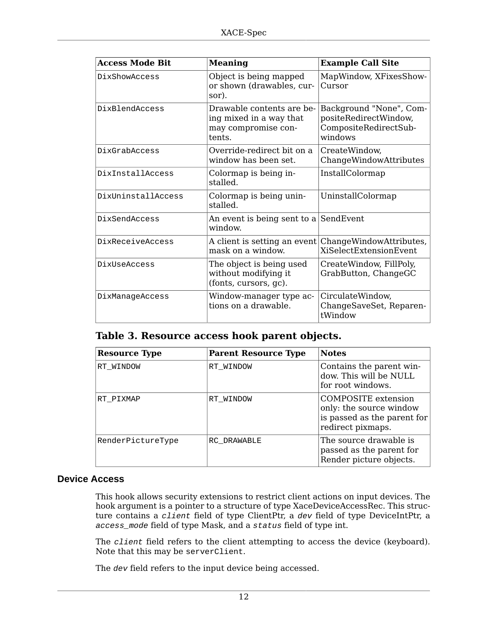| <b>Access Mode Bit</b> | <b>Meaning</b>                                                                        | <b>Example Call Site</b>                                                             |
|------------------------|---------------------------------------------------------------------------------------|--------------------------------------------------------------------------------------|
| DixShowAccess          | Object is being mapped<br>or shown (drawables, cur-<br>sor).                          | MapWindow, XFixesShow-<br>Cursor                                                     |
| DixBlendAccess         | Drawable contents are be-<br>ing mixed in a way that<br>may compromise con-<br>tents. | Background "None", Com-<br>positeRedirectWindow,<br>CompositeRedirectSub-<br>windows |
| DixGrabAccess          | Override-redirect bit on a<br>window has been set.                                    | CreateWindow,<br>ChangeWindowAttributes                                              |
| DixInstallAccess       | Colormap is being in-<br>stalled.                                                     | InstallColormap                                                                      |
| DixUninstallAccess     | Colormap is being unin-<br>stalled.                                                   | UninstallColormap                                                                    |
| DixSendAccess          | An event is being sent to a SendEvent<br>window.                                      |                                                                                      |
| DixReceiveAccess       | A client is setting an event<br>mask on a window.                                     | ChangeWindowAttributes,<br>XiSelectExtensionEvent                                    |
| DixUseAccess           | The object is being used<br>without modifying it<br>(fonts, cursors, gc).             | CreateWindow, FillPoly,<br>GrabButton, ChangeGC                                      |
| DixManageAccess        | Window-manager type ac-<br>tions on a drawable.                                       | CirculateWindow,<br>ChangeSaveSet, Reparen-<br>tWindow                               |

<span id="page-11-1"></span>**Table 3. Resource access hook parent objects.**

| <b>Resource Type</b> | <b>Parent Resource Type</b> | <b>Notes</b>                                                                                              |
|----------------------|-----------------------------|-----------------------------------------------------------------------------------------------------------|
| RT WINDOW            | RT WINDOW                   | Contains the parent win-<br>dow. This will be NULL<br>for root windows.                                   |
| RT PIXMAP            | RT WINDOW                   | <b>COMPOSITE</b> extension<br>only: the source window<br>is passed as the parent for<br>redirect pixmaps. |
| RenderPictureType    | RC DRAWABLE                 | The source drawable is<br>passed as the parent for<br>Render picture objects.                             |

#### <span id="page-11-0"></span>**Device Access**

This hook allows security extensions to restrict client actions on input devices. The hook argument is a pointer to a structure of type XaceDeviceAccessRec. This structure contains a client field of type ClientPtr, a dev field of type DeviceIntPtr, a access\_mode field of type Mask, and a status field of type int.

The *client* field refers to the client attempting to access the device (keyboard). Note that this may be serverClient.

The dev field refers to the input device being accessed.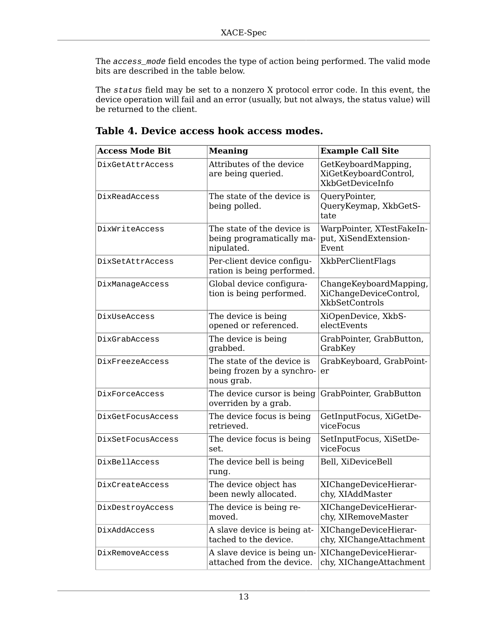The access\_mode field encodes the type of action being performed. The valid mode bits are described in the table below.

The status field may be set to a nonzero X protocol error code. In this event, the device operation will fail and an error (usually, but not always, the status value) will be returned to the client.

| <b>Access Mode Bit</b> | <b>Meaning</b>                                                         | <b>Example Call Site</b>                                                  |
|------------------------|------------------------------------------------------------------------|---------------------------------------------------------------------------|
| DixGetAttrAccess       | Attributes of the device<br>are being queried.                         | GetKeyboardMapping,<br>XiGetKeyboardControl,<br>XkbGetDeviceInfo          |
| DixReadAccess          | The state of the device is<br>being polled.                            | QueryPointer,<br>QueryKeymap, XkbGetS-<br>tate                            |
| DixWriteAccess         | The state of the device is<br>being programatically ma-<br>nipulated.  | WarpPointer, XTestFakeIn-<br>put, XiSendExtension-<br>Event               |
| DixSetAttrAccess       | Per-client device configu-<br>ration is being performed.               | XkbPerClientFlags                                                         |
| DixManageAccess        | Global device configura-<br>tion is being performed.                   | ChangeKeyboardMapping,<br>XiChangeDeviceControl,<br><b>XkbSetControls</b> |
| DixUseAccess           | The device is being<br>opened or referenced.                           | XiOpenDevice, XkbS-<br>electEvents                                        |
| DixGrabAccess          | The device is being<br>grabbed.                                        | GrabPointer, GrabButton,<br>GrabKey                                       |
| DixFreezeAccess        | The state of the device is<br>being frozen by a synchro-<br>nous grab. | GrabKeyboard, GrabPoint-<br>er                                            |
| DixForceAccess         | The device cursor is being<br>overriden by a grab.                     | GrabPointer, GrabButton                                                   |
| DixGetFocusAccess      | The device focus is being<br>retrieved.                                | GetInputFocus, XiGetDe-<br>viceFocus                                      |
| DixSetFocusAccess      | The device focus is being<br>set.                                      | SetInputFocus, XiSetDe-<br>viceFocus                                      |
| DixBellAccess          | The device bell is being<br>rung.                                      | Bell, XiDeviceBell                                                        |
| DixCreateAccess        | The device object has<br>been newly allocated.                         | XIChangeDeviceHierar-<br>chy, XIAddMaster                                 |
| DixDestroyAccess       | The device is being re-<br>moved.                                      | XIChangeDeviceHierar-<br>chy, XIRemoveMaster                              |
| DixAddAccess           | A slave device is being at-<br>tached to the device.                   | XIChangeDeviceHierar-<br>chy, XIChangeAttachment                          |
| DixRemoveAccess        | A slave device is being un-<br>attached from the device.               | XIChangeDeviceHierar-<br>chy, XIChangeAttachment                          |

### **Table 4. Device access hook access modes.**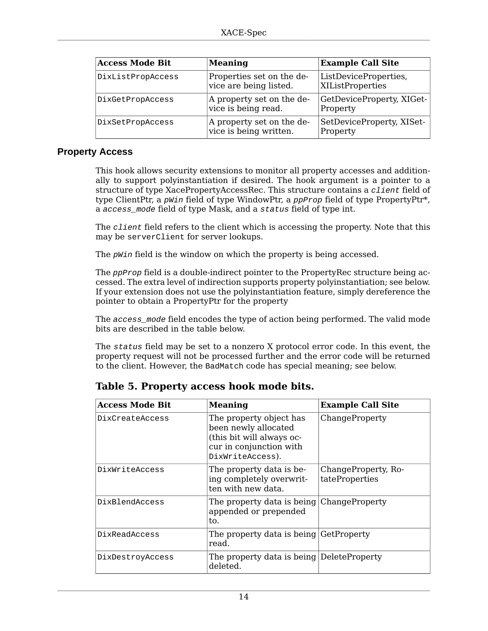| <b>Access Mode Bit</b> | <b>Meaning</b>                                      | <b>Example Call Site</b>                  |
|------------------------|-----------------------------------------------------|-------------------------------------------|
| DixListPropAccess      | Properties set on the de-<br>vice are being listed. | ListDeviceProperties,<br>XIListProperties |
| DixGetPropAccess       | A property set on the de-<br>vice is being read.    | GetDeviceProperty, XIGet-<br>Property     |
| DixSetPropAccess       | A property set on the de-<br>vice is being written. | SetDeviceProperty, XISet-<br>Property     |

#### <span id="page-13-0"></span>**Property Access**

This hook allows security extensions to monitor all property accesses and additionally to support polyinstantiation if desired. The hook argument is a pointer to a structure of type XacePropertyAccessRec. This structure contains a *client* field of type ClientPtr, a  $pW$ in field of type WindowPtr, a  $p$  $pP$ rop field of type PropertyPtr\*, a access\_mode field of type Mask, and a status field of type int.

The *client* field refers to the client which is accessing the property. Note that this may be serverClient for server lookups.

The *pWin* field is the window on which the property is being accessed.

The *ppProp* field is a double-indirect pointer to the PropertyRec structure being accessed. The extra level of indirection supports property polyinstantiation; see below. If your extension does not use the polyinstantiation feature, simply dereference the pointer to obtain a PropertyPtr for the property

The access\_mode field encodes the type of action being performed. The valid mode bits are described in the table below.

The status field may be set to a nonzero X protocol error code. In this event, the property request will not be processed further and the error code will be returned to the client. However, the BadMatch code has special meaning; see below.

| <b>Access Mode Bit</b> | <b>Meaning</b>                                                                                                              | <b>Example Call Site</b>              |
|------------------------|-----------------------------------------------------------------------------------------------------------------------------|---------------------------------------|
| DixCreateAccess        | The property object has<br>been newly allocated<br>(this bit will always oc-<br>cur in conjunction with<br>DixWriteAccess). | ChangeProperty                        |
| DixWriteAccess         | The property data is be-<br>ing completely overwrit-<br>ten with new data.                                                  | ChangeProperty, Ro-<br>tateProperties |
| DixBlendAccess         | The property data is being ChangeProperty<br>appended or prepended<br>to.                                                   |                                       |
| DixReadAccess          | The property data is being GetProperty<br>read.                                                                             |                                       |
| DixDestroyAccess       | The property data is being DeleteProperty<br>deleted.                                                                       |                                       |

### **Table 5. Property access hook mode bits.**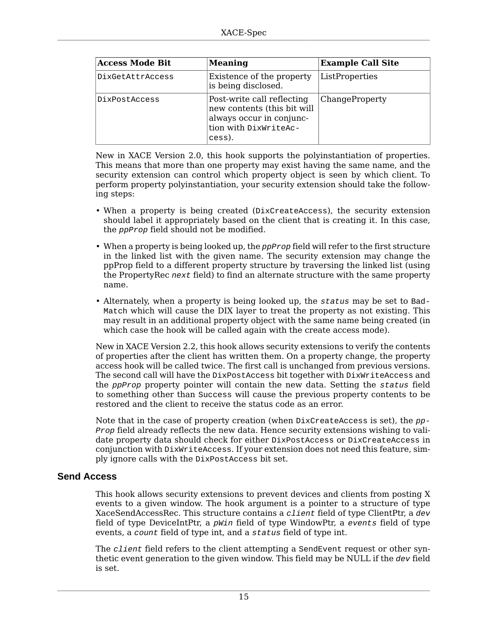| <b>Access Mode Bit</b> | <b>Meaning</b>                                                                                                           | <b>Example Call Site</b> |
|------------------------|--------------------------------------------------------------------------------------------------------------------------|--------------------------|
| DixGetAttrAccess       | Existence of the property<br>is being disclosed.                                                                         | ListProperties           |
| DixPostAccess          | Post-write call reflecting<br>new contents (this bit will<br>always occur in conjunc-<br>tion with DixWriteAc-<br>cess). | ChangeProperty           |

New in XACE Version 2.0, this hook supports the polyinstantiation of properties. This means that more than one property may exist having the same name, and the security extension can control which property object is seen by which client. To perform property polyinstantiation, your security extension should take the following steps:

- When a property is being created (DixCreateAccess), the security extension should label it appropriately based on the client that is creating it. In this case, the ppProp field should not be modified.
- When a property is being looked up, the *ppProp* field will refer to the first structure in the linked list with the given name. The security extension may change the ppProp field to a different property structure by traversing the linked list (using the PropertyRec next field) to find an alternate structure with the same property name.
- Alternately, when a property is being looked up, the status may be set to Bad-Match which will cause the DIX layer to treat the property as not existing. This may result in an additional property object with the same name being created (in which case the hook will be called again with the create access mode).

New in XACE Version 2.2, this hook allows security extensions to verify the contents of properties after the client has written them. On a property change, the property access hook will be called twice. The first call is unchanged from previous versions. The second call will have the DixPostAccess bit together with DixWriteAccess and the *ppProp* property pointer will contain the new data. Setting the status field to something other than Success will cause the previous property contents to be restored and the client to receive the status code as an error.

Note that in the case of property creation (when  $DiscreteAccess$  is set), the  $pp-$ Prop field already reflects the new data. Hence security extensions wishing to validate property data should check for either DixPostAccess or DixCreateAccess in conjunction with DixWriteAccess. If your extension does not need this feature, simply ignore calls with the DixPostAccess bit set.

#### <span id="page-14-0"></span>**Send Access**

This hook allows security extensions to prevent devices and clients from posting X events to a given window. The hook argument is a pointer to a structure of type XaceSendAccessRec. This structure contains a *client* field of type ClientPtr, a  $dev$ field of type DeviceIntPtr, a pWin field of type WindowPtr, a events field of type events, a count field of type int, and a status field of type int.

The *client* field refers to the client attempting a SendEvent request or other synthetic event generation to the given window. This field may be NULL if the dev field is set.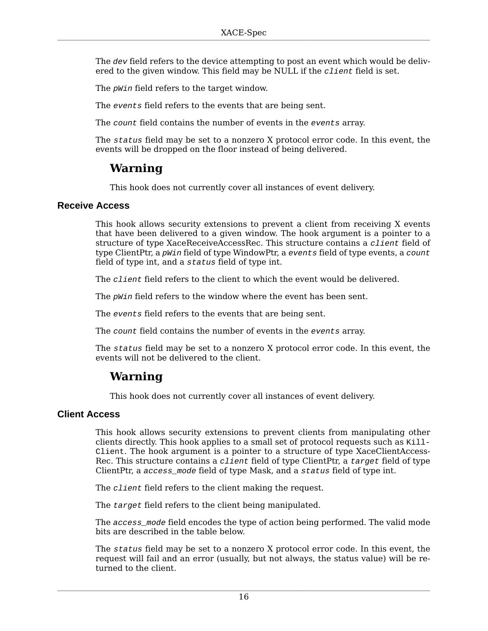The dev field refers to the device attempting to post an event which would be delivered to the given window. This field may be NULL if the *client* field is set.

The *pWin* field refers to the target window.

The events field refers to the events that are being sent.

The count field contains the number of events in the events array.

The status field may be set to a nonzero X protocol error code. In this event, the events will be dropped on the floor instead of being delivered.

## **Warning**

This hook does not currently cover all instances of event delivery.

#### <span id="page-15-0"></span>**Receive Access**

This hook allows security extensions to prevent a client from receiving X events that have been delivered to a given window. The hook argument is a pointer to a structure of type XaceReceiveAccessRec. This structure contains a *client* field of type ClientPtr, a *pWin* field of type WindowPtr, a *events* field of type events, a *count* field of type int, and a status field of type int.

The *client* field refers to the client to which the event would be delivered.

The  $\nu$ *win* field refers to the window where the event has been sent.

The events field refers to the events that are being sent.

The count field contains the number of events in the events array.

The status field may be set to a nonzero X protocol error code. In this event, the events will not be delivered to the client.

### **Warning**

This hook does not currently cover all instances of event delivery.

#### <span id="page-15-1"></span>**Client Access**

This hook allows security extensions to prevent clients from manipulating other clients directly. This hook applies to a small set of protocol requests such as  $Ki11$ -Client. The hook argument is a pointer to a structure of type XaceClientAccess-Rec. This structure contains a *client* field of type ClientPtr, a  $target$  field of type ClientPtr, a access mode field of type Mask, and a status field of type int.

The *client* field refers to the client making the request.

The target field refers to the client being manipulated.

The access\_mode field encodes the type of action being performed. The valid mode bits are described in the table below.

The status field may be set to a nonzero X protocol error code. In this event, the request will fail and an error (usually, but not always, the status value) will be returned to the client.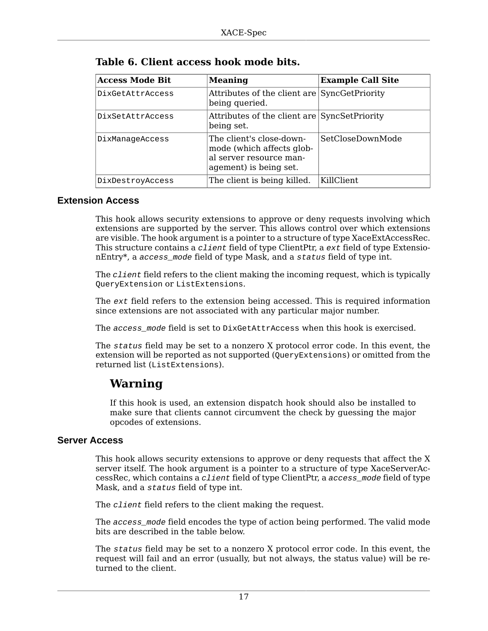| <b>Access Mode Bit</b> | <b>Meaning</b>                                                                                             | <b>Example Call Site</b> |
|------------------------|------------------------------------------------------------------------------------------------------------|--------------------------|
| DixGetAttrAccess       | Attributes of the client are SyncGetPriority<br>being queried.                                             |                          |
| DixSetAttrAccess       | Attributes of the client are SyncSetPriority<br>being set.                                                 |                          |
| DixManageAccess        | The client's close-down-<br>mode (which affects glob-<br>al server resource man-<br>agement) is being set. | SetCloseDownMode         |
| DixDestroyAccess       | The client is being killed.                                                                                | KillClient               |

| Table 6. Client access hook mode bits. |  |  |  |  |  |
|----------------------------------------|--|--|--|--|--|
|----------------------------------------|--|--|--|--|--|

#### <span id="page-16-1"></span>**Extension Access**

This hook allows security extensions to approve or deny requests involving which extensions are supported by the server. This allows control over which extensions are visible. The hook argument is a pointer to a structure of type XaceExtAccessRec. This structure contains a *client* field of type ClientPtr, a ext field of type ExtensionEntry\*, a access\_mode field of type Mask, and a status field of type int.

The *client* field refers to the client making the incoming request, which is typically QueryExtension or ListExtensions.

The ext field refers to the extension being accessed. This is required information since extensions are not associated with any particular major number.

The access mode field is set to DixGetAttrAccess when this hook is exercised.

The status field may be set to a nonzero X protocol error code. In this event, the extension will be reported as not supported (QueryExtensions) or omitted from the returned list (ListExtensions).

## **Warning**

If this hook is used, an extension dispatch hook should also be installed to make sure that clients cannot circumvent the check by guessing the major opcodes of extensions.

#### <span id="page-16-0"></span>**Server Access**

This hook allows security extensions to approve or deny requests that affect the X server itself. The hook argument is a pointer to a structure of type XaceServerAccessRec, which contains a client field of type ClientPtr, a access\_mode field of type Mask, and a status field of type int.

The *client* field refers to the client making the request.

The access\_mode field encodes the type of action being performed. The valid mode bits are described in the table below.

The status field may be set to a nonzero X protocol error code. In this event, the request will fail and an error (usually, but not always, the status value) will be returned to the client.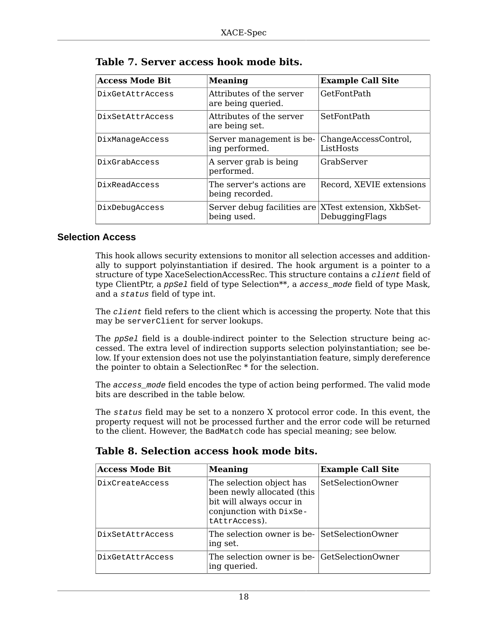| <b>Access Mode Bit</b> | <b>Meaning</b>                                                      | <b>Example Call Site</b>          |
|------------------------|---------------------------------------------------------------------|-----------------------------------|
| DixGetAttrAccess       | Attributes of the server<br>are being queried.                      | <b>GetFontPath</b>                |
| DixSetAttrAccess       | Attributes of the server<br>are being set.                          | SetFontPath                       |
| DixManageAccess        | Server management is be-<br>ing performed.                          | ChangeAccessControl,<br>ListHosts |
| DixGrabAccess          | A server grab is being<br>performed.                                | GrabServer                        |
| DixReadAccess          | The server's actions are<br>being recorded.                         | Record, XEVIE extensions          |
| DixDebugAccess         | Server debug facilities are XTest extension, XkbSet-<br>being used. | DebuggingFlags                    |

|  |  |  | Table 7. Server access hook mode bits. |  |  |  |
|--|--|--|----------------------------------------|--|--|--|
|--|--|--|----------------------------------------|--|--|--|

#### <span id="page-17-0"></span>**Selection Access**

This hook allows security extensions to monitor all selection accesses and additionally to support polyinstantiation if desired. The hook argument is a pointer to a structure of type XaceSelectionAccessRec. This structure contains a *client* field of type ClientPtr, a ppSe1 field of type Selection<sup>\*\*</sup>, a access\_mode field of type Mask, and a status field of type int.

The *client* field refers to the client which is accessing the property. Note that this may be serverClient for server lookups.

The ppSel field is a double-indirect pointer to the Selection structure being accessed. The extra level of indirection supports selection polyinstantiation; see below. If your extension does not use the polyinstantiation feature, simply dereference the pointer to obtain a SelectionRec \* for the selection.

The access\_mode field encodes the type of action being performed. The valid mode bits are described in the table below.

The status field may be set to a nonzero X protocol error code. In this event, the property request will not be processed further and the error code will be returned to the client. However, the BadMatch code has special meaning; see below.

#### **Table 8. Selection access hook mode bits.**

| <b>Access Mode Bit</b> | <b>Meaning</b>                                                                                                                 | <b>Example Call Site</b> |
|------------------------|--------------------------------------------------------------------------------------------------------------------------------|--------------------------|
| DixCreateAccess        | The selection object has<br>been newly allocated (this<br>bit will always occur in<br>conjunction with DixSe-<br>tAttrAccess). | SetSelectionOwner        |
| DixSetAttrAccess       | The selection owner is be- SetSelectionOwner<br>ing set.                                                                       |                          |
| DixGetAttrAccess       | The selection owner is be- GetSelectionOwner<br>ing queried.                                                                   |                          |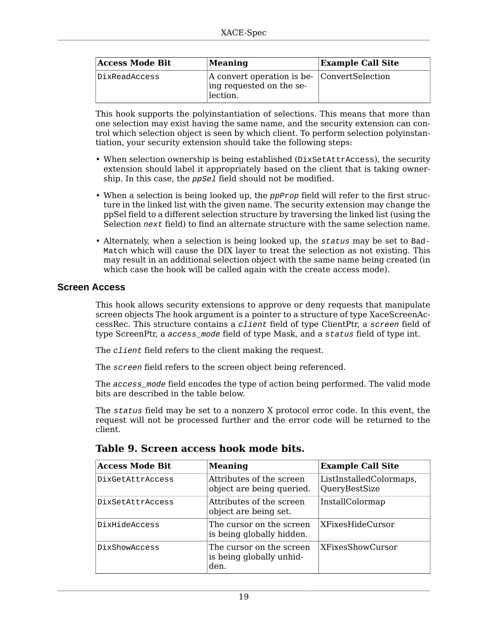| <b>Access Mode Bit</b> | $\mathbf M$ eaning                                                                        | <b>Example Call Site</b> |
|------------------------|-------------------------------------------------------------------------------------------|--------------------------|
| DixReadAccess          | $ A$ convert operation is be- $ ConvertSelection$<br>ing requested on the se-<br>lection. |                          |

This hook supports the polyinstantiation of selections. This means that more than one selection may exist having the same name, and the security extension can control which selection object is seen by which client. To perform selection polyinstantiation, your security extension should take the following steps:

- When selection ownership is being established (DixSetAttrAccess), the security extension should label it appropriately based on the client that is taking ownership. In this case, the *ppSel* field should not be modified.
- When a selection is being looked up, the  $ppProj$  field will refer to the first structure in the linked list with the given name. The security extension may change the ppSel field to a different selection structure by traversing the linked list (using the Selection next field) to find an alternate structure with the same selection name.
- Alternately, when a selection is being looked up, the status may be set to Bad-Match which will cause the DIX layer to treat the selection as not existing. This may result in an additional selection object with the same name being created (in which case the hook will be called again with the create access mode).

#### <span id="page-18-0"></span>**Screen Access**

This hook allows security extensions to approve or deny requests that manipulate screen objects The hook argument is a pointer to a structure of type XaceScreenAccessRec. This structure contains a client field of type ClientPtr, a screen field of type ScreenPtr, a access mode field of type Mask, and a status field of type int.

The *client* field refers to the client making the request.

The screen field refers to the screen object being referenced.

The access\_mode field encodes the type of action being performed. The valid mode bits are described in the table below.

The status field may be set to a nonzero X protocol error code. In this event, the request will not be processed further and the error code will be returned to the client.

| <b>Access Mode Bit</b> | <b>Meaning</b>                                               | <b>Example Call Site</b>                 |
|------------------------|--------------------------------------------------------------|------------------------------------------|
| DixGetAttrAccess       | Attributes of the screen<br>object are being queried.        | ListInstalledColormaps,<br>QueryBestSize |
| DixSetAttrAccess       | Attributes of the screen<br>object are being set.            | InstallColormap                          |
| DixHideAccess          | The cursor on the screen<br>is being globally hidden.        | XFixesHideCursor                         |
| DixShowAccess          | The cursor on the screen<br>is being globally unhid-<br>den. | <b>XFixesShowCursor</b>                  |

**Table 9. Screen access hook mode bits.**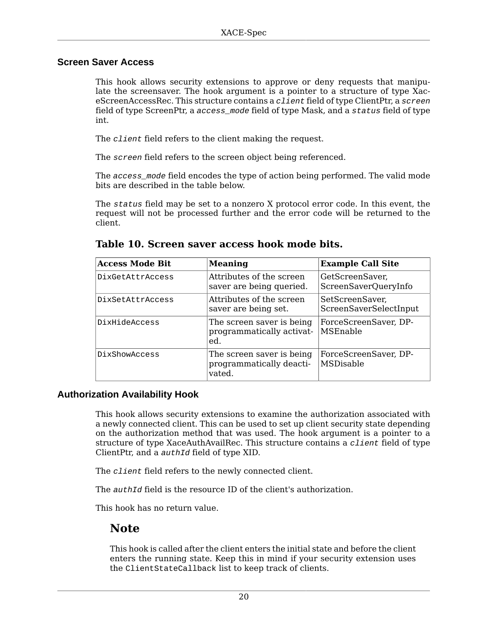#### <span id="page-19-0"></span>**Screen Saver Access**

This hook allows security extensions to approve or deny requests that manipulate the screensaver. The hook argument is a pointer to a structure of type XaceScreenAccessRec. This structure contains a *client* field of type ClientPtr, a screen field of type ScreenPtr, a access\_mode field of type Mask, and a status field of type int.

The *client* field refers to the client making the request.

The screen field refers to the screen object being referenced.

The access mode field encodes the type of action being performed. The valid mode bits are described in the table below.

The status field may be set to a nonzero X protocol error code. In this event, the request will not be processed further and the error code will be returned to the client.

| <b>Access Mode Bit</b> | <b>Meaning</b>                                                  | <b>Example Call Site</b>                  |
|------------------------|-----------------------------------------------------------------|-------------------------------------------|
| DixGetAttrAccess       | Attributes of the screen<br>saver are being queried.            | GetScreenSaver,<br>ScreenSaverQueryInfo   |
| DixSetAttrAccess       | Attributes of the screen<br>saver are being set.                | SetScreenSaver,<br>ScreenSaverSelectInput |
| DixHideAccess          | The screen saver is being<br>programmatically activat-<br>ed.   | ForceScreenSaver, DP-<br>MSEnable         |
| DixShowAccess          | The screen saver is being<br>programmatically deacti-<br>vated. | ForceScreenSaver, DP-<br>MSDisable        |

**Table 10. Screen saver access hook mode bits.**

#### <span id="page-19-1"></span>**Authorization Availability Hook**

This hook allows security extensions to examine the authorization associated with a newly connected client. This can be used to set up client security state depending on the authorization method that was used. The hook argument is a pointer to a structure of type XaceAuthAvailRec. This structure contains a *client* field of type ClientPtr, and a authId field of type XID.

The *client* field refers to the newly connected client.

The *authId* field is the resource ID of the client's authorization.

This hook has no return value.

### **Note**

This hook is called after the client enters the initial state and before the client enters the running state. Keep this in mind if your security extension uses the ClientStateCallback list to keep track of clients.